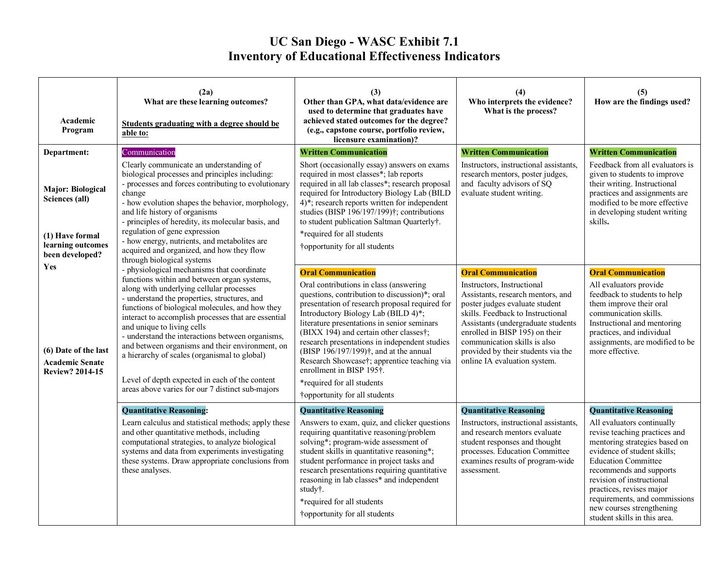## **UC San Diego - WASC Exhibit 7.1 Inventory of Educational Effectiveness Indicators**

| Academic<br>Program                                                                                   | (2a)<br>What are these learning outcomes?<br>Students graduating with a degree should be<br>able to:                                                                                                                                                                                                                                                                                                                                                                                                                                         | (3)<br>Other than GPA, what data/evidence are<br>used to determine that graduates have<br>achieved stated outcomes for the degree?<br>(e.g., capstone course, portfolio review,<br>licensure examination)?                                                                                                                                                                                                                                                                                                                  | (4)<br>Who interprets the evidence?<br>What is the process?                                                                                                                                                                                                                                                          | (5)<br>How are the findings used?                                                                                                                                                                                                                                                                                                                                            |
|-------------------------------------------------------------------------------------------------------|----------------------------------------------------------------------------------------------------------------------------------------------------------------------------------------------------------------------------------------------------------------------------------------------------------------------------------------------------------------------------------------------------------------------------------------------------------------------------------------------------------------------------------------------|-----------------------------------------------------------------------------------------------------------------------------------------------------------------------------------------------------------------------------------------------------------------------------------------------------------------------------------------------------------------------------------------------------------------------------------------------------------------------------------------------------------------------------|----------------------------------------------------------------------------------------------------------------------------------------------------------------------------------------------------------------------------------------------------------------------------------------------------------------------|------------------------------------------------------------------------------------------------------------------------------------------------------------------------------------------------------------------------------------------------------------------------------------------------------------------------------------------------------------------------------|
| Department:                                                                                           | Communication                                                                                                                                                                                                                                                                                                                                                                                                                                                                                                                                | <b>Written Communication</b>                                                                                                                                                                                                                                                                                                                                                                                                                                                                                                | <b>Written Communication</b>                                                                                                                                                                                                                                                                                         | <b>Written Communication</b>                                                                                                                                                                                                                                                                                                                                                 |
| <b>Major: Biological</b><br>Sciences (all)<br>(1) Have formal<br>learning outcomes<br>been developed? | Clearly communicate an understanding of<br>biological processes and principles including:<br>- processes and forces contributing to evolutionary<br>change<br>- how evolution shapes the behavior, morphology,<br>and life history of organisms<br>- principles of heredity, its molecular basis, and<br>regulation of gene expression<br>- how energy, nutrients, and metabolites are<br>acquired and organized, and how they flow                                                                                                          | Short (occasionally essay) answers on exams<br>required in most classes*; lab reports<br>required in all lab classes*; research proposal<br>required for Introductory Biology Lab (BILD<br>$4$ <sup>*</sup> ; research reports written for independent<br>studies (BISP 196/197/199)†; contributions<br>to student publication Saltman Quarterly†.<br>*required for all students<br>†opportunity for all students                                                                                                           | Instructors, instructional assistants,<br>research mentors, poster judges,<br>and faculty advisors of SQ<br>evaluate student writing.                                                                                                                                                                                | Feedback from all evaluators is<br>given to students to improve<br>their writing. Instructional<br>practices and assignments are<br>modified to be more effective<br>in developing student writing<br>skills.                                                                                                                                                                |
| Yes                                                                                                   | through biological systems<br>- physiological mechanisms that coordinate                                                                                                                                                                                                                                                                                                                                                                                                                                                                     | <b>Oral Communication</b>                                                                                                                                                                                                                                                                                                                                                                                                                                                                                                   | <b>Oral Communication</b>                                                                                                                                                                                                                                                                                            | <b>Oral Communication</b>                                                                                                                                                                                                                                                                                                                                                    |
| (6) Date of the last<br><b>Academic Senate</b><br><b>Review? 2014-15</b>                              | functions within and between organ systems,<br>along with underlying cellular processes<br>- understand the properties, structures, and<br>functions of biological molecules, and how they<br>interact to accomplish processes that are essential<br>and unique to living cells<br>- understand the interactions between organisms,<br>and between organisms and their environment, on<br>a hierarchy of scales (organismal to global)<br>Level of depth expected in each of the content<br>areas above varies for our 7 distinct sub-majors | Oral contributions in class (answering<br>questions, contribution to discussion)*; oral<br>presentation of research proposal required for<br>Introductory Biology Lab (BILD 4)*;<br>literature presentations in senior seminars<br>(BIXX 194) and certain other classes†;<br>research presentations in independent studies<br>(BISP 196/197/199) <sup>†</sup> , and at the annual<br>Research Showcase†; apprentice teaching via<br>enrollment in BISP 195†.<br>*required for all students<br>†opportunity for all students | Instructors, Instructional<br>Assistants, research mentors, and<br>poster judges evaluate student<br>skills. Feedback to Instructional<br>Assistants (undergraduate students<br>enrolled in BISP 195) on their<br>communication skills is also<br>provided by their students via the<br>online IA evaluation system. | All evaluators provide<br>feedback to students to help<br>them improve their oral<br>communication skills.<br>Instructional and mentoring<br>practices, and individual<br>assignments, are modified to be<br>more effective.                                                                                                                                                 |
|                                                                                                       | <b>Quantitative Reasoning:</b><br>Learn calculus and statistical methods; apply these<br>and other quantitative methods, including<br>computational strategies, to analyze biological<br>systems and data from experiments investigating<br>these systems. Draw appropriate conclusions from<br>these analyses.                                                                                                                                                                                                                              | <b>Quantitative Reasoning</b><br>Answers to exam, quiz, and clicker questions<br>requiring quantitative reasoning/problem<br>solving*; program-wide assessment of<br>student skills in quantitative reasoning*;<br>student performance in project tasks and<br>research presentations requiring quantitative<br>reasoning in lab classes* and independent<br>study†.<br>*required for all students<br>†opportunity for all students                                                                                         | <b>Quantitative Reasoning</b><br>Instructors, instructional assistants,<br>and research mentors evaluate<br>student responses and thought<br>processes. Education Committee<br>examines results of program-wide<br>assessment.                                                                                       | <b>Quantitative Reasoning</b><br>All evaluators continually<br>revise teaching practices and<br>mentoring strategies based on<br>evidence of student skills;<br><b>Education Committee</b><br>recommends and supports<br>revision of instructional<br>practices, revises major<br>requirements, and commissions<br>new courses strengthening<br>student skills in this area. |